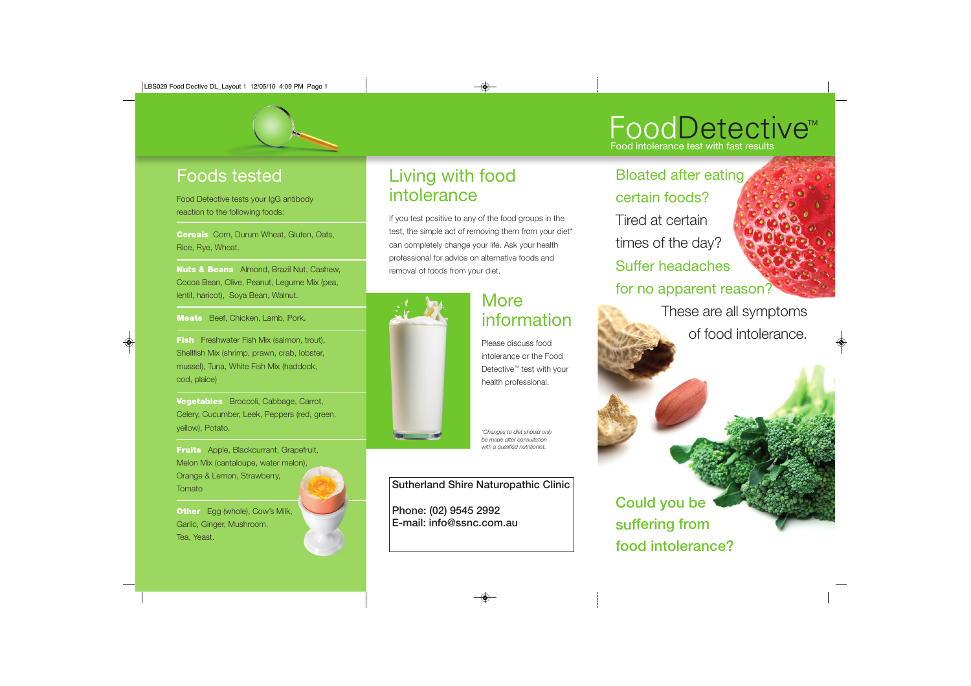

### Foods tested

Food Detective tests your IgG antibody reaction to the following foods:

**Cereals** Corn, Durum Wheat, Gluten, Oats, Rice, Rye, Wheat.

**Nuts & Beans** Almond, Brazil Nut, Cashew, Cocoa Bean, Olive, Peanut, Legume Mix (pea, lentil, haricot), Soya Bean, Walnut.

#### **Meats** Beef, Chicken, Lamb, Pork.

**Fish** Freshwater Fish Mix (salmon, trout), Shellfish Mix (shrimp, prawn, crab, lobster, mussel), Tuna, White Fish Mix (haddock, cod, plaice)

**Vegetables** Broccoli, Cabbage, Carrot, Celery, Cucumber, Leek, Peppers (red, green, yellow), Potato.

**Fruits** Apple, Blackcurrant, Grapefruit, Melon Mix (cantaloupe, water melon), Orange & Lemon, Strawberry, Tomato

**Other** Egg (whole), Cow's Milk, Garlic, Ginger, Mushroom, Tea, Yeast.

### Living with food intolerance

If you test positive to any of the food groups in the test, the simple act of removing them from your diet\* can completely change your life. Ask your health professional for advice on alternative foods and removal of foods from your diet.



### **More** information

Please discuss food intolerance or the Food Detective<sup>™</sup> test with your health professional.

*\*Changes to diet should only be made after consultation with a qualified nutritionist.*

### Sutherland Shire Naturopathic Clinic

Phone: [\(02\) 9545 2992](tel:+61-2-9545-2992) E-mail: [info@ssnc.com.au](mailto:info@ssnc.com.au) **Could you be suffering from food intolerance?**

### FoodDetective™ Food intolerance test with fast results

### Bloated after eating certain foods?

Tired at certain times of the day? Suffer headaches for no apparent reason?

> These are all symptoms of food intolerance.